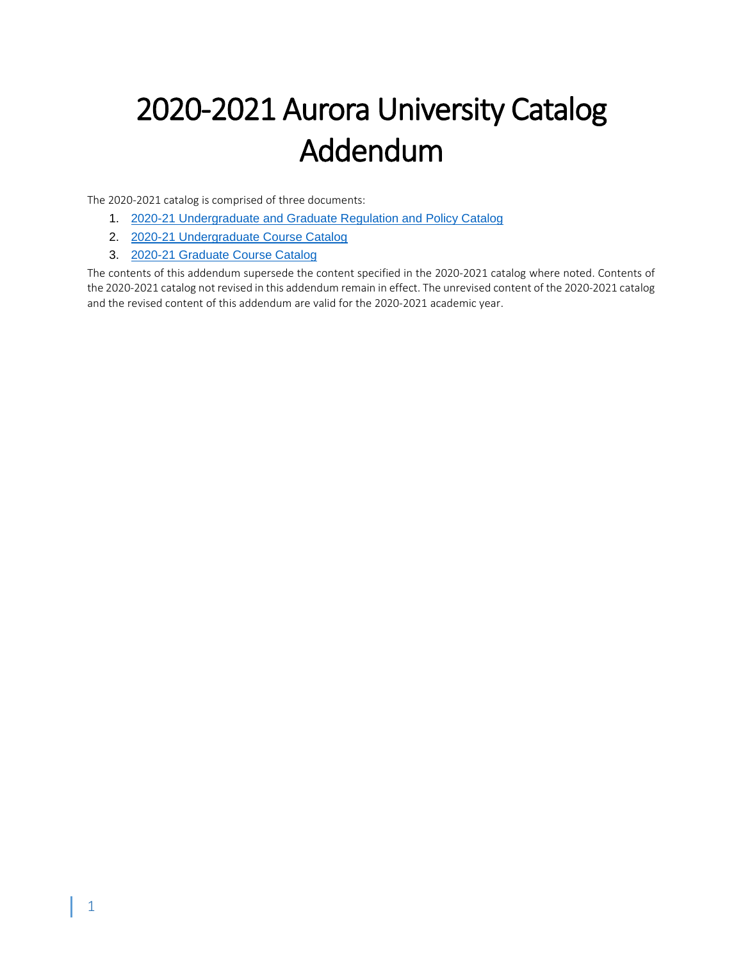# 2020-2021 Aurora University Catalog Addendum

The 2020-2021 catalog is comprised of three documents:

- 1. [2020-21 Undergraduate and Graduate Regulation and Policy Catalog](https://aurora.edu/documents/academics/catalog/ug-gr-regulations-and-policies-2020-2021.pdf)
- 2. [2020-21 Undergraduate Course Catalog](https://aurora.edu/documents/academics/catalog/ug-catalog-2020-2021.pdf)
- 3. [2020-21 Graduate Course Catalog](https://aurora.edu/documents/academics/catalog/gr-catalog-2020-2021.pdf)

The contents of this addendum supersede the content specified in the 2020-2021 catalog where noted. Contents of the 2020-2021 catalog not revised in this addendum remain in effect. The unrevised content of the 2020-2021 catalog and the revised content of this addendum are valid for the 2020-2021 academic year.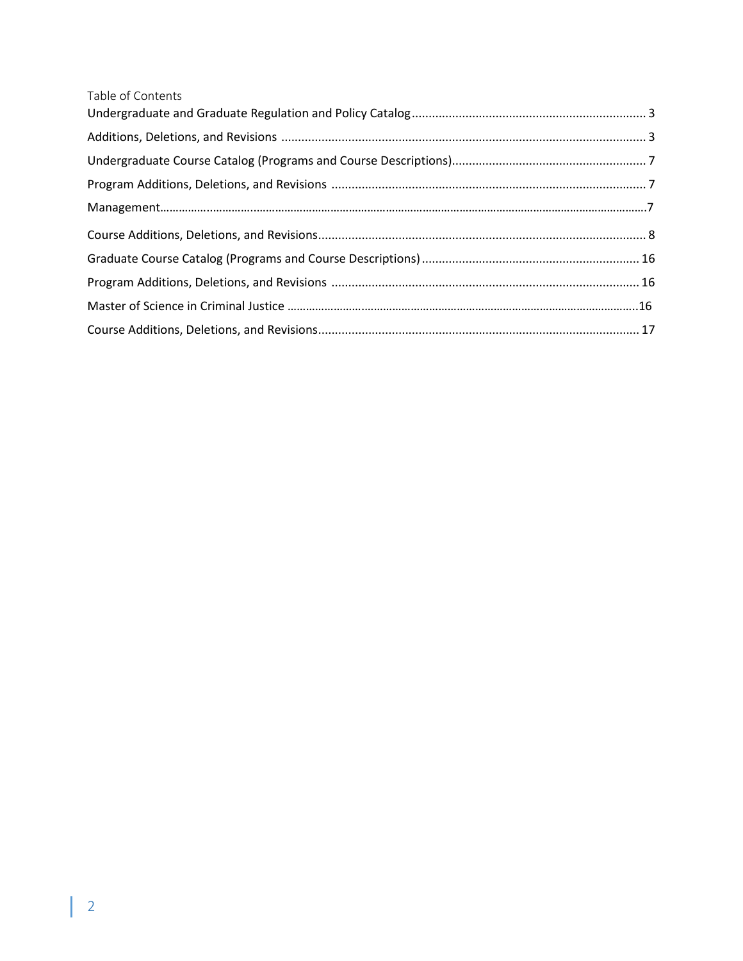| Table of Contents |  |
|-------------------|--|
|                   |  |
|                   |  |
|                   |  |
|                   |  |
|                   |  |
|                   |  |
|                   |  |
|                   |  |
|                   |  |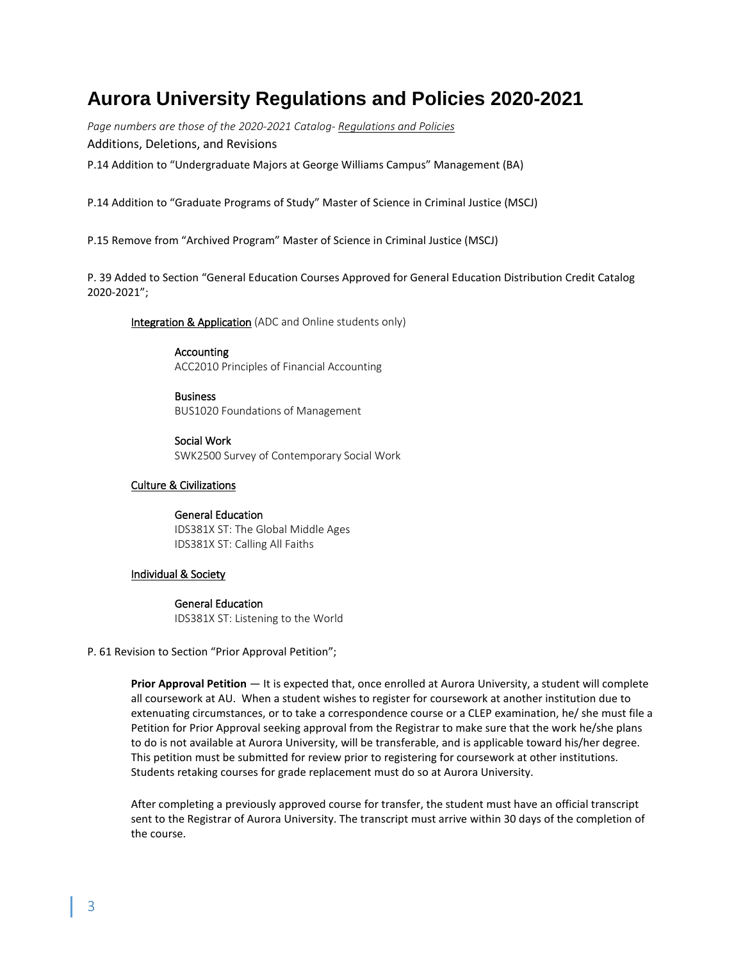# **Aurora University Regulations and Policies 2020-2021**

*Page numbers are those of the 2020-2021 Catalog- Regulations and Policies* Additions, Deletions, and Revisions

P.14 Addition to "Undergraduate Majors at George Williams Campus" Management (BA)

P.14 Addition to "Graduate Programs of Study" Master of Science in Criminal Justice (MSCJ)

P.15 Remove from "Archived Program" Master of Science in Criminal Justice (MSCJ)

P. 39 Added to Section "General Education Courses Approved for General Education Distribution Credit Catalog 2020-2021";

Integration & Application (ADC and Online students only)

Accounting ACC2010 Principles of Financial Accounting

**Business** BUS1020 Foundations of Management

Social Work SWK2500 Survey of Contemporary Social Work

#### Culture & Civilizations

# General Education

IDS381X ST: The Global Middle Ages IDS381X ST: Calling All Faiths

# Individual & Society

#### General Education

IDS381X ST: Listening to the World

#### P. 61 Revision to Section "Prior Approval Petition";

**Prior Approval Petition** — It is expected that, once enrolled at Aurora University, a student will complete all coursework at AU. When a student wishes to register for coursework at another institution due to extenuating circumstances, or to take a correspondence course or a CLEP examination, he/ she must file a Petition for Prior Approval seeking approval from the Registrar to make sure that the work he/she plans to do is not available at Aurora University, will be transferable, and is applicable toward his/her degree. This petition must be submitted for review prior to registering for coursework at other institutions. Students retaking courses for grade replacement must do so at Aurora University.

After completing a previously approved course for transfer, the student must have an official transcript sent to the Registrar of Aurora University. The transcript must arrive within 30 days of the completion of the course.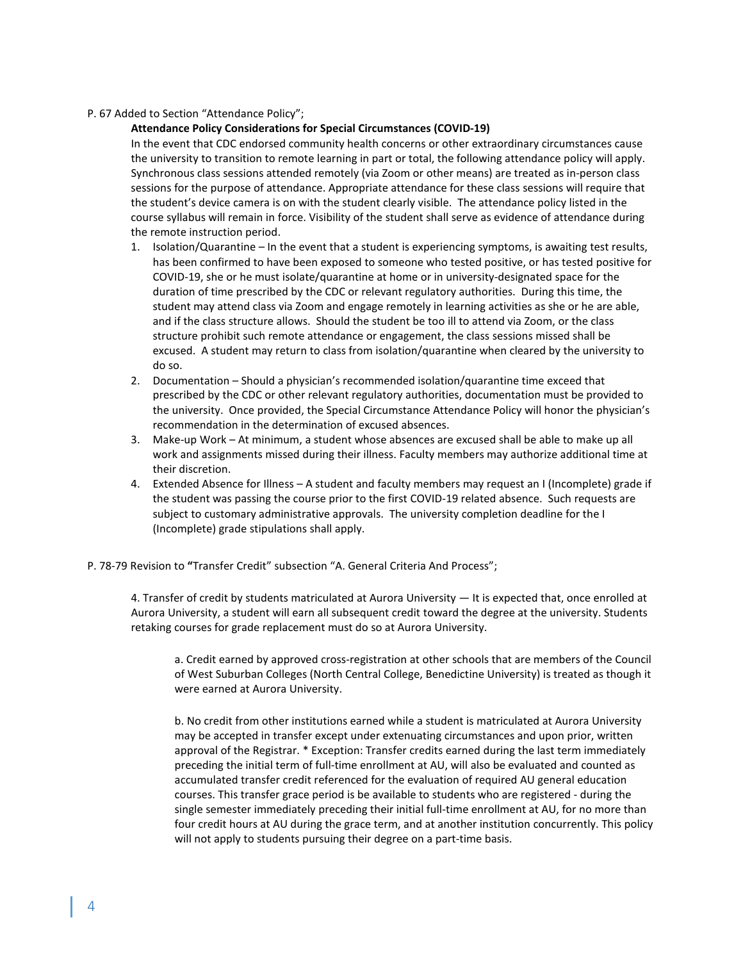# P. 67 Added to Section "Attendance Policy";

#### **Attendance Policy Considerations for Special Circumstances (COVID-19)**

In the event that CDC endorsed community health concerns or other extraordinary circumstances cause the university to transition to remote learning in part or total, the following attendance policy will apply. Synchronous class sessions attended remotely (via Zoom or other means) are treated as in-person class sessions for the purpose of attendance. Appropriate attendance for these class sessions will require that the student's device camera is on with the student clearly visible. The attendance policy listed in the course syllabus will remain in force. Visibility of the student shall serve as evidence of attendance during the remote instruction period.

- 1. Isolation/Quarantine In the event that a student is experiencing symptoms, is awaiting test results, has been confirmed to have been exposed to someone who tested positive, or has tested positive for COVID-19, she or he must isolate/quarantine at home or in university-designated space for the duration of time prescribed by the CDC or relevant regulatory authorities. During this time, the student may attend class via Zoom and engage remotely in learning activities as she or he are able, and if the class structure allows. Should the student be too ill to attend via Zoom, or the class structure prohibit such remote attendance or engagement, the class sessions missed shall be excused. A student may return to class from isolation/quarantine when cleared by the university to do so.
- 2. Documentation Should a physician's recommended isolation/quarantine time exceed that prescribed by the CDC or other relevant regulatory authorities, documentation must be provided to the university. Once provided, the Special Circumstance Attendance Policy will honor the physician's recommendation in the determination of excused absences.
- 3. Make-up Work At minimum, a student whose absences are excused shall be able to make up all work and assignments missed during their illness. Faculty members may authorize additional time at their discretion.
- 4. Extended Absence for Illness A student and faculty members may request an I (Incomplete) grade if the student was passing the course prior to the first COVID-19 related absence. Such requests are subject to customary administrative approvals. The university completion deadline for the I (Incomplete) grade stipulations shall apply.
- P. 78-79 Revision to **"**Transfer Credit" subsection "A. General Criteria And Process";

4. Transfer of credit by students matriculated at Aurora University — It is expected that, once enrolled at Aurora University, a student will earn all subsequent credit toward the degree at the university. Students retaking courses for grade replacement must do so at Aurora University.

a. Credit earned by approved cross-registration at other schools that are members of the Council of West Suburban Colleges (North Central College, Benedictine University) is treated as though it were earned at Aurora University.

b. No credit from other institutions earned while a student is matriculated at Aurora University may be accepted in transfer except under extenuating circumstances and upon prior, written approval of the Registrar. \* Exception: Transfer credits earned during the last term immediately preceding the initial term of full-time enrollment at AU, will also be evaluated and counted as accumulated transfer credit referenced for the evaluation of required AU general education courses. This transfer grace period is be available to students who are registered - during the single semester immediately preceding their initial full-time enrollment at AU, for no more than four credit hours at AU during the grace term, and at another institution concurrently. This policy will not apply to students pursuing their degree on a part-time basis.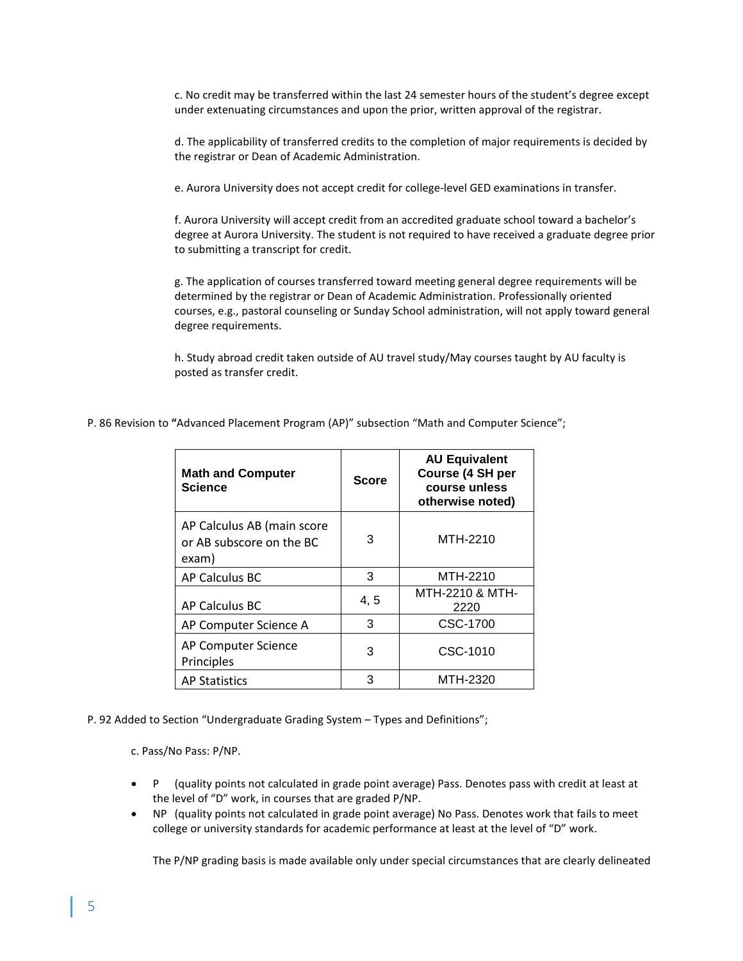c. No credit may be transferred within the last 24 semester hours of the student's degree except under extenuating circumstances and upon the prior, written approval of the registrar.

d. The applicability of transferred credits to the completion of major requirements is decided by the registrar or Dean of Academic Administration.

e. Aurora University does not accept credit for college-level GED examinations in transfer.

f. Aurora University will accept credit from an accredited graduate school toward a bachelor's degree at Aurora University. The student is not required to have received a graduate degree prior to submitting a transcript for credit.

g. The application of courses transferred toward meeting general degree requirements will be determined by the registrar or Dean of Academic Administration. Professionally oriented courses, e.g., pastoral counseling or Sunday School administration, will not apply toward general degree requirements.

h. Study abroad credit taken outside of AU travel study/May courses taught by AU faculty is posted as transfer credit.

| <b>Math and Computer</b><br><b>Science</b>                      | <b>Score</b> | <b>AU Equivalent</b><br>Course (4 SH per<br>course unless<br>otherwise noted) |
|-----------------------------------------------------------------|--------------|-------------------------------------------------------------------------------|
| AP Calculus AB (main score<br>or AB subscore on the BC<br>exam) | 3            | MTH-2210                                                                      |
| AP Calculus BC                                                  | 3            | MTH-2210                                                                      |
| AP Calculus BC                                                  | 4, 5         | MTH-2210 & MTH-<br>2220                                                       |
| AP Computer Science A                                           | 3            | CSC-1700                                                                      |
| AP Computer Science<br>Principles                               | 3            | CSC-1010                                                                      |
| <b>AP Statistics</b>                                            | 3            | MTH-2320                                                                      |

P. 86 Revision to **"**Advanced Placement Program (AP)" subsection "Math and Computer Science";

P. 92 Added to Section "Undergraduate Grading System – Types and Definitions";

c. Pass/No Pass: P/NP.

- P (quality points not calculated in grade point average) Pass. Denotes pass with credit at least at the level of "D" work, in courses that are graded P/NP.
- NP (quality points not calculated in grade point average) No Pass. Denotes work that fails to meet college or university standards for academic performance at least at the level of "D" work.

The P/NP grading basis is made available only under special circumstances that are clearly delineated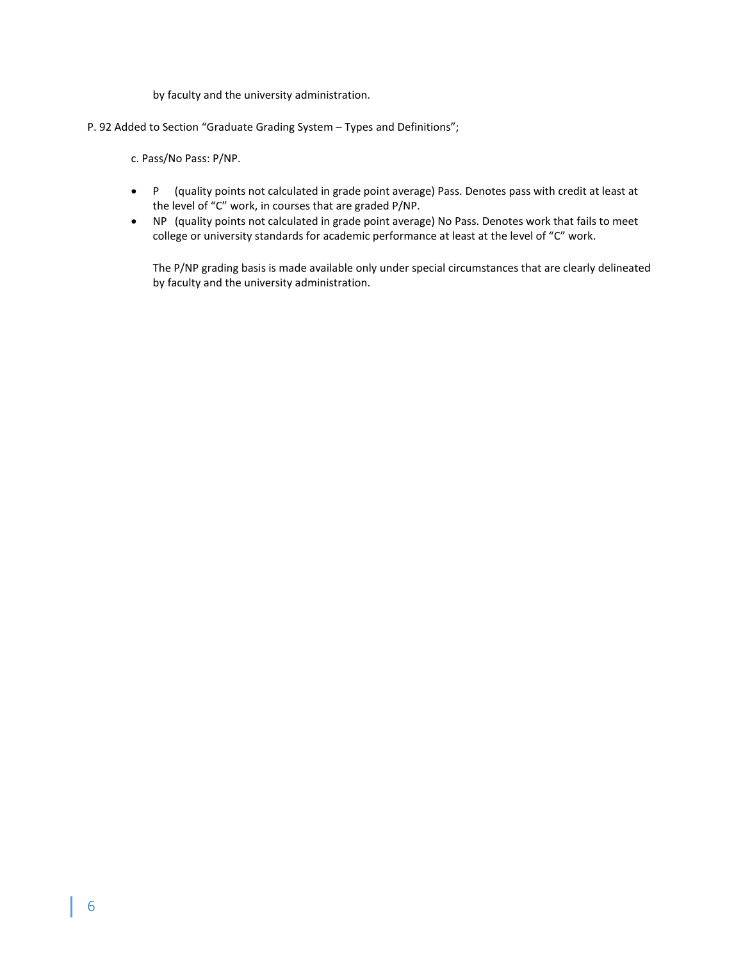by faculty and the university administration.

P. 92 Added to Section "Graduate Grading System – Types and Definitions";

c. Pass/No Pass: P/NP.

- P (quality points not calculated in grade point average) Pass. Denotes pass with credit at least at the level of "C" work, in courses that are graded P/NP.
- NP (quality points not calculated in grade point average) No Pass. Denotes work that fails to meet college or university standards for academic performance at least at the level of "C" work.

The P/NP grading basis is made available only under special circumstances that are clearly delineated by faculty and the university administration.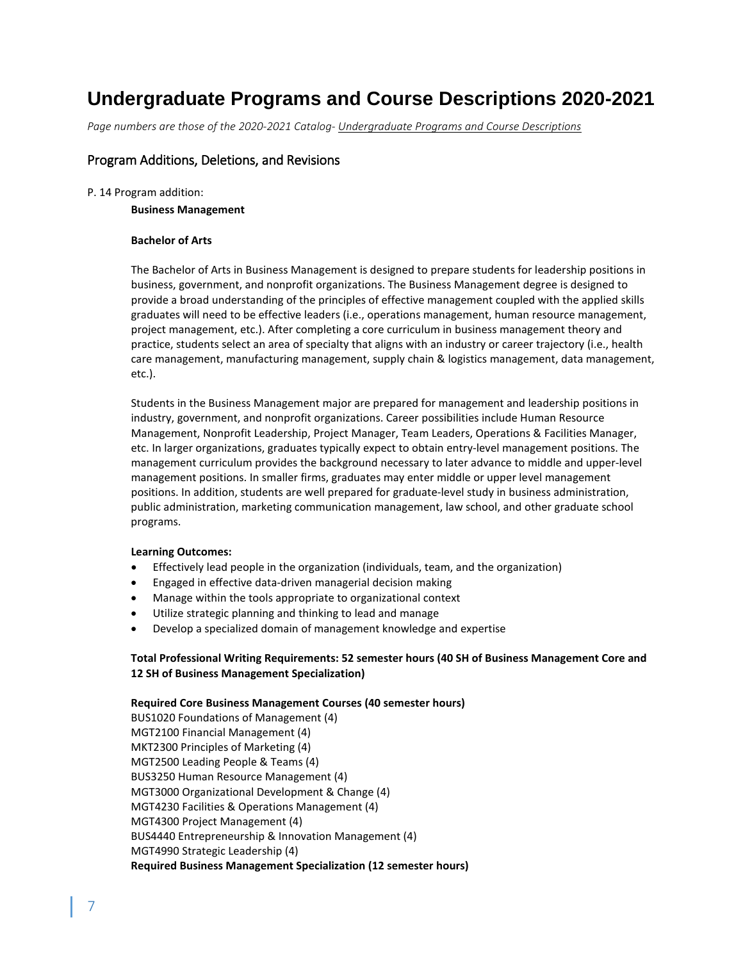# **Undergraduate Programs and Course Descriptions 2020-2021**

*Page numbers are those of the 2020-2021 Catalog- Undergraduate Programs and Course Descriptions*

# Program Additions, Deletions, and Revisions

#### P. 14 Program addition:

## **Business Management**

# **Bachelor of Arts**

The Bachelor of Arts in Business Management is designed to prepare students for leadership positions in business, government, and nonprofit organizations. The Business Management degree is designed to provide a broad understanding of the principles of effective management coupled with the applied skills graduates will need to be effective leaders (i.e., operations management, human resource management, project management, etc.). After completing a core curriculum in business management theory and practice, students select an area of specialty that aligns with an industry or career trajectory (i.e., health care management, manufacturing management, supply chain & logistics management, data management, etc.).

Students in the Business Management major are prepared for management and leadership positions in industry, government, and nonprofit organizations. Career possibilities include Human Resource Management, Nonprofit Leadership, Project Manager, Team Leaders, Operations & Facilities Manager, etc. In larger organizations, graduates typically expect to obtain entry-level management positions. The management curriculum provides the background necessary to later advance to middle and upper-level management positions. In smaller firms, graduates may enter middle or upper level management positions. In addition, students are well prepared for graduate-level study in business administration, public administration, marketing communication management, law school, and other graduate school programs.

#### **Learning Outcomes:**

- Effectively lead people in the organization (individuals, team, and the organization)
- Engaged in effective data-driven managerial decision making
- Manage within the tools appropriate to organizational context
- Utilize strategic planning and thinking to lead and manage
- Develop a specialized domain of management knowledge and expertise

# **Total Professional Writing Requirements: 52 semester hours (40 SH of Business Management Core and 12 SH of Business Management Specialization)**

# **Required Core Business Management Courses (40 semester hours)**

BUS1020 Foundations of Management (4) MGT2100 Financial Management (4) MKT2300 Principles of Marketing (4) MGT2500 Leading People & Teams (4) BUS3250 Human Resource Management (4) MGT3000 Organizational Development & Change (4) MGT4230 Facilities & Operations Management (4) MGT4300 Project Management (4) BUS4440 Entrepreneurship & Innovation Management (4) MGT4990 Strategic Leadership (4) **Required Business Management Specialization (12 semester hours)**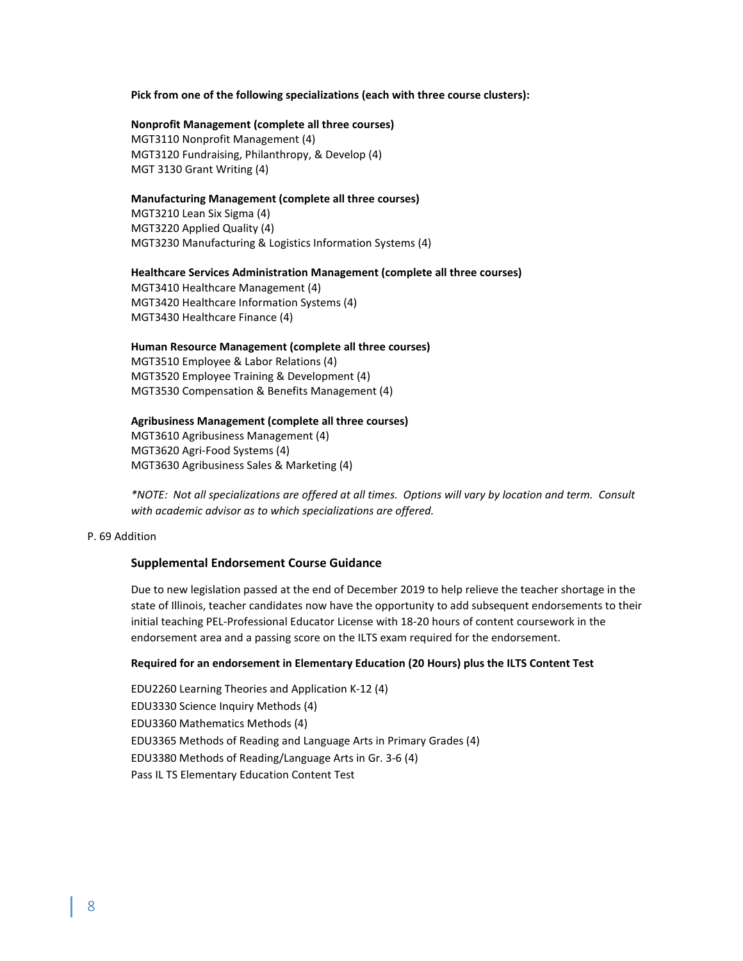#### **Pick from one of the following specializations (each with three course clusters):**

#### **Nonprofit Management (complete all three courses)**

MGT3110 Nonprofit Management (4) MGT3120 Fundraising, Philanthropy, & Develop (4) MGT 3130 Grant Writing (4)

# **Manufacturing Management (complete all three courses)**

MGT3210 Lean Six Sigma (4) MGT3220 Applied Quality (4) MGT3230 Manufacturing & Logistics Information Systems (4)

## **Healthcare Services Administration Management (complete all three courses)**

MGT3410 Healthcare Management (4) MGT3420 Healthcare Information Systems (4) MGT3430 Healthcare Finance (4)

#### **Human Resource Management (complete all three courses)**

MGT3510 Employee & Labor Relations (4) MGT3520 Employee Training & Development (4) MGT3530 Compensation & Benefits Management (4)

#### **Agribusiness Management (complete all three courses)**

MGT3610 Agribusiness Management (4) MGT3620 Agri-Food Systems (4) MGT3630 Agribusiness Sales & Marketing (4)

*\*NOTE: Not all specializations are offered at all times. Options will vary by location and term. Consult with academic advisor as to which specializations are offered.*

# P. 69 Addition

#### **Supplemental Endorsement Course Guidance**

Due to new legislation passed at the end of December 2019 to help relieve the teacher shortage in the state of Illinois, teacher candidates now have the opportunity to add subsequent endorsements to their initial teaching PEL-Professional Educator License with 18-20 hours of content coursework in the endorsement area and a passing score on the ILTS exam required for the endorsement.

#### **Required for an endorsement in Elementary Education (20 Hours) plus the ILTS Content Test**

EDU2260 Learning Theories and Application K-12 (4) EDU3330 Science Inquiry Methods (4) EDU3360 Mathematics Methods (4) EDU3365 Methods of Reading and Language Arts in Primary Grades (4) EDU3380 Methods of Reading/Language Arts in Gr. 3-6 (4) Pass IL TS Elementary Education Content Test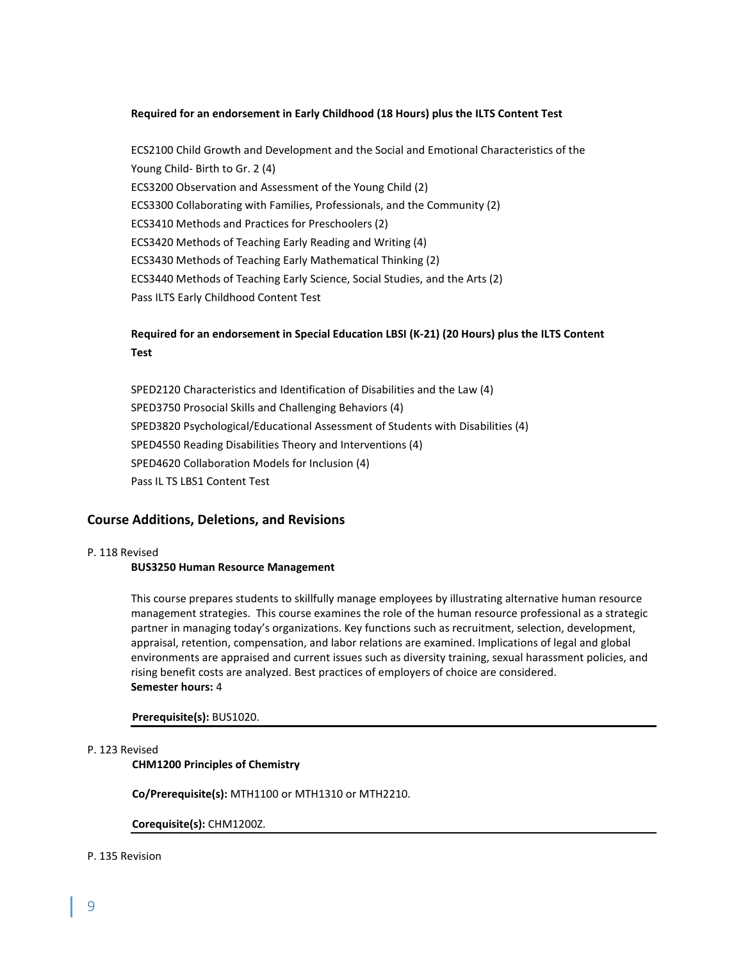# **Required for an endorsement in Early Childhood (18 Hours) plus the ILTS Content Test**

ECS2100 Child Growth and Development and the Social and Emotional Characteristics of the Young Child- Birth to Gr. 2 (4) ECS3200 Observation and Assessment of the Young Child (2) ECS3300 Collaborating with Families, Professionals, and the Community (2) ECS3410 Methods and Practices for Preschoolers (2) ECS3420 Methods of Teaching Early Reading and Writing (4) ECS3430 Methods of Teaching Early Mathematical Thinking (2) ECS3440 Methods of Teaching Early Science, Social Studies, and the Arts (2) Pass ILTS Early Childhood Content Test

# **Required for an endorsement in Special Education LBSI (K-21) (20 Hours) plus the ILTS Content Test**

SPED2120 Characteristics and Identification of Disabilities and the Law (4) SPED3750 Prosocial Skills and Challenging Behaviors (4) SPED3820 Psychological/Educational Assessment of Students with Disabilities (4) SPED4550 Reading Disabilities Theory and Interventions (4) SPED4620 Collaboration Models for Inclusion (4) Pass IL TS LBS1 Content Test

# **Course Additions, Deletions, and Revisions**

#### P. 118 Revised

#### **BUS3250 Human Resource Management**

This course prepares students to skillfully manage employees by illustrating alternative human resource management strategies. This course examines the role of the human resource professional as a strategic partner in managing today's organizations. Key functions such as recruitment, selection, development, appraisal, retention, compensation, and labor relations are examined. Implications of legal and global environments are appraised and current issues such as diversity training, sexual harassment policies, and rising benefit costs are analyzed. Best practices of employers of choice are considered. **Semester hours:** 4

#### **Prerequisite(s):** BUS1020.

#### P. 123 Revised

#### **CHM1200 Principles of Chemistry**

**Co/Prerequisite(s):** MTH1100 or MTH1310 or MTH2210.

**Corequisite(s):** CHM1200Z.

#### P. 135 Revision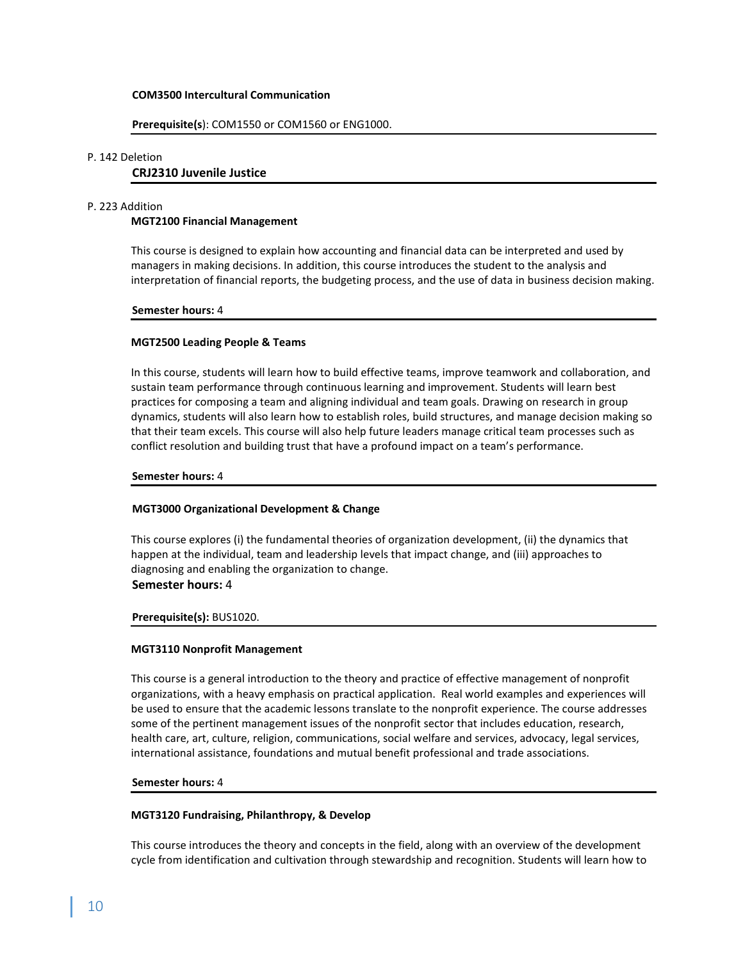#### **COM3500 Intercultural Communication**

#### **Prerequisite(s**): COM1550 or COM1560 or ENG1000.

#### P. 142 Deletion

# **CRJ2310 Juvenile Justice**

#### P. 223 Addition

#### **MGT2100 Financial Management**

This course is designed to explain how accounting and financial data can be interpreted and used by managers in making decisions. In addition, this course introduces the student to the analysis and interpretation of financial reports, the budgeting process, and the use of data in business decision making.

#### **Semester hours:** 4

#### **MGT2500 Leading People & Teams**

In this course, students will learn how to build effective teams, improve teamwork and collaboration, and sustain team performance through continuous learning and improvement. Students will learn best practices for composing a team and aligning individual and team goals. Drawing on research in group dynamics, students will also learn how to establish roles, build structures, and manage decision making so that their team excels. This course will also help future leaders manage critical team processes such as conflict resolution and building trust that have a profound impact on a team's performance.

#### **Semester hours:** 4

#### **MGT3000 Organizational Development & Change**

This course explores (i) the fundamental theories of organization development, (ii) the dynamics that happen at the individual, team and leadership levels that impact change, and (iii) approaches to diagnosing and enabling the organization to change. **Semester hours:** 4

# **Prerequisite(s):** BUS1020.

#### **MGT3110 Nonprofit Management**

This course is a general introduction to the theory and practice of effective management of nonprofit organizations, with a heavy emphasis on practical application. Real world examples and experiences will be used to ensure that the academic lessons translate to the nonprofit experience. The course addresses some of the pertinent management issues of the nonprofit sector that includes education, research, health care, art, culture, religion, communications, social welfare and services, advocacy, legal services, international assistance, foundations and mutual benefit professional and trade associations.

#### **Semester hours:** 4

#### **MGT3120 Fundraising, Philanthropy, & Develop**

This course introduces the theory and concepts in the field, along with an overview of the development cycle from identification and cultivation through stewardship and recognition. Students will learn how to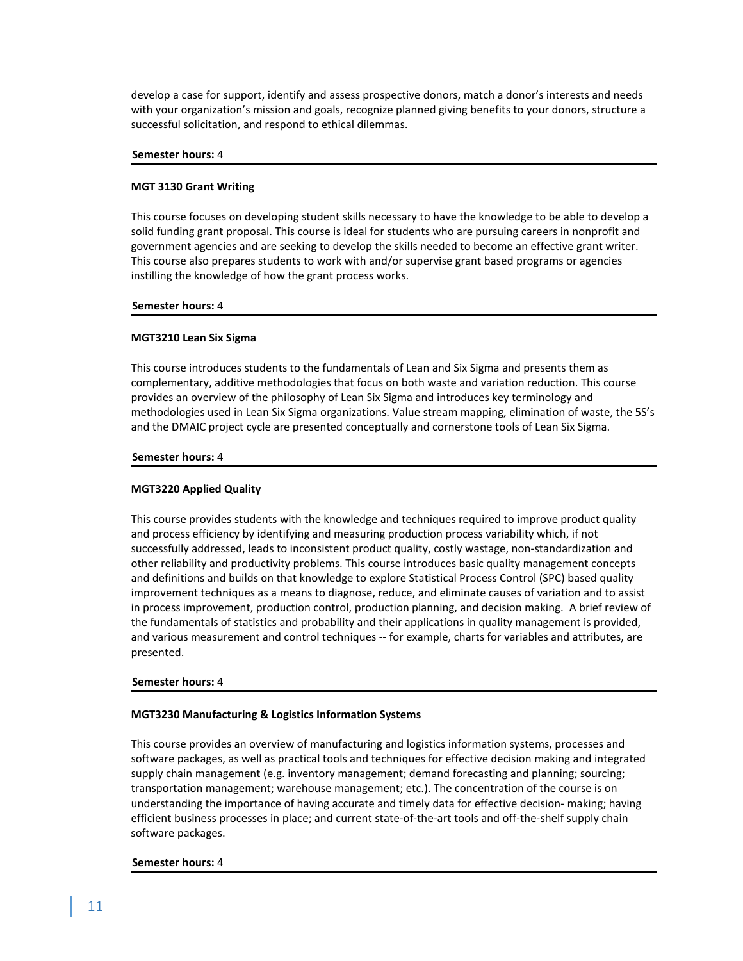develop a case for support, identify and assess prospective donors, match a donor's interests and needs with your organization's mission and goals, recognize planned giving benefits to your donors, structure a successful solicitation, and respond to ethical dilemmas.

#### **Semester hours:** 4

#### **MGT 3130 Grant Writing**

This course focuses on developing student skills necessary to have the knowledge to be able to develop a solid funding grant proposal. This course is ideal for students who are pursuing careers in nonprofit and government agencies and are seeking to develop the skills needed to become an effective grant writer. This course also prepares students to work with and/or supervise grant based programs or agencies instilling the knowledge of how the grant process works.

#### **Semester hours:** 4

#### **MGT3210 Lean Six Sigma**

This course introduces students to the fundamentals of Lean and Six Sigma and presents them as complementary, additive methodologies that focus on both waste and variation reduction. This course provides an overview of the philosophy of Lean Six Sigma and introduces key terminology and methodologies used in Lean Six Sigma organizations. Value stream mapping, elimination of waste, the 5S's and the DMAIC project cycle are presented conceptually and cornerstone tools of Lean Six Sigma.

#### **Semester hours:** 4

#### **MGT3220 Applied Quality**

This course provides students with the knowledge and techniques required to improve product quality and process efficiency by identifying and measuring production process variability which, if not successfully addressed, leads to inconsistent product quality, costly wastage, non-standardization and other reliability and productivity problems. This course introduces basic quality management concepts and definitions and builds on that knowledge to explore Statistical Process Control (SPC) based quality improvement techniques as a means to diagnose, reduce, and eliminate causes of variation and to assist in process improvement, production control, production planning, and decision making. A brief review of the fundamentals of statistics and probability and their applications in quality management is provided, and various measurement and control techniques -- for example, charts for variables and attributes, are presented.

#### **Semester hours:** 4

#### **MGT3230 Manufacturing & Logistics Information Systems**

This course provides an overview of manufacturing and logistics information systems, processes and software packages, as well as practical tools and techniques for effective decision making and integrated supply chain management (e.g. inventory management; demand forecasting and planning; sourcing; transportation management; warehouse management; etc.). The concentration of the course is on understanding the importance of having accurate and timely data for effective decision- making; having efficient business processes in place; and current state-of-the-art tools and off-the-shelf supply chain software packages.

#### **Semester hours:** 4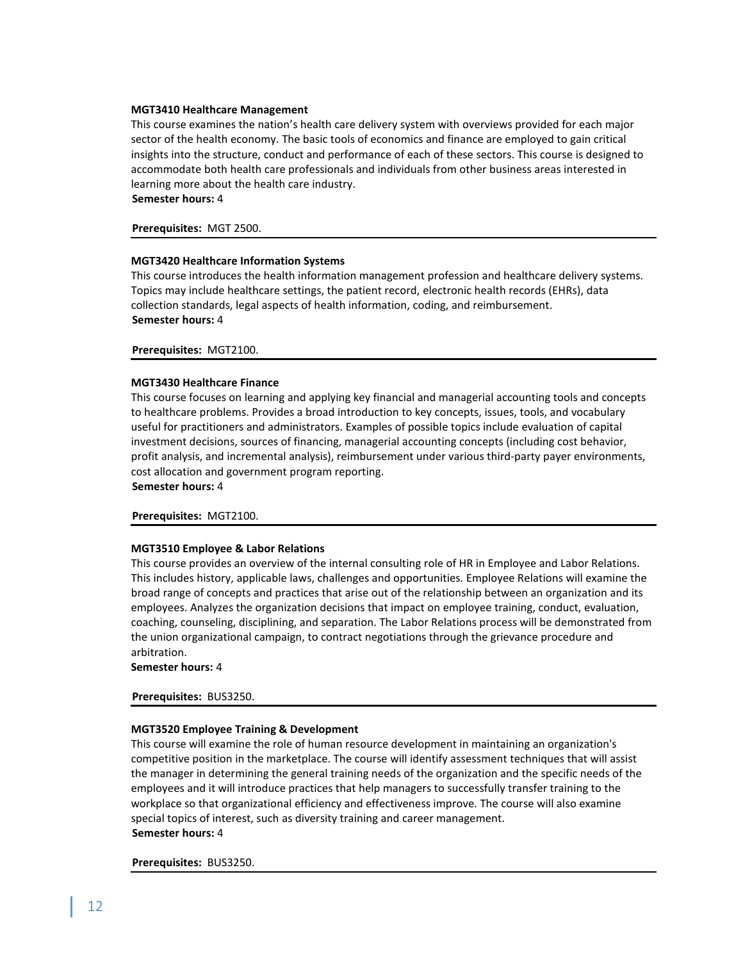#### **MGT3410 Healthcare Management**

This course examines the nation's health care delivery system with overviews provided for each major sector of the health economy. The basic tools of economics and finance are employed to gain critical insights into the structure, conduct and performance of each of these sectors. This course is designed to accommodate both health care professionals and individuals from other business areas interested in learning more about the health care industry.

**Semester hours:** 4

#### **Prerequisites:**MGT 2500.

#### **MGT3420 Healthcare Information Systems**

This course introduces the health information management profession and healthcare delivery systems. Topics may include healthcare settings, the patient record, electronic health records (EHRs), data collection standards, legal aspects of health information, coding, and reimbursement. **Semester hours:** 4

#### **Prerequisites:** MGT2100.

#### **MGT3430 Healthcare Finance**

This course focuses on learning and applying key financial and managerial accounting tools and concepts to healthcare problems. Provides a broad introduction to key concepts, issues, tools, and vocabulary useful for practitioners and administrators. Examples of possible topics include evaluation of capital investment decisions, sources of financing, managerial accounting concepts (including cost behavior, profit analysis, and incremental analysis), reimbursement under various third-party payer environments, cost allocation and government program reporting.

**Semester hours:** 4

#### **Prerequisites:** MGT2100.

#### **MGT3510 Employee & Labor Relations**

This course provides an overview of the internal consulting role of HR in Employee and Labor Relations. This includes history, applicable laws, challenges and opportunities. Employee Relations will examine the broad range of concepts and practices that arise out of the relationship between an organization and its employees. Analyzes the organization decisions that impact on employee training, conduct, evaluation, coaching, counseling, disciplining, and separation. The Labor Relations process will be demonstrated from the union organizational campaign, to contract negotiations through the grievance procedure and arbitration.

**Semester hours:** 4

#### **Prerequisites:** BUS3250.

#### **MGT3520 Employee Training & Development**

This course will examine the role of human resource development in maintaining an organization's competitive position in the marketplace. The course will identify assessment techniques that will assist the manager in determining the general training needs of the organization and the specific needs of the employees and it will introduce practices that help managers to successfully transfer training to the workplace so that organizational efficiency and effectiveness improve. The course will also examine special topics of interest, such as diversity training and career management. **Semester hours:** 4

#### **Prerequisites:** BUS3250.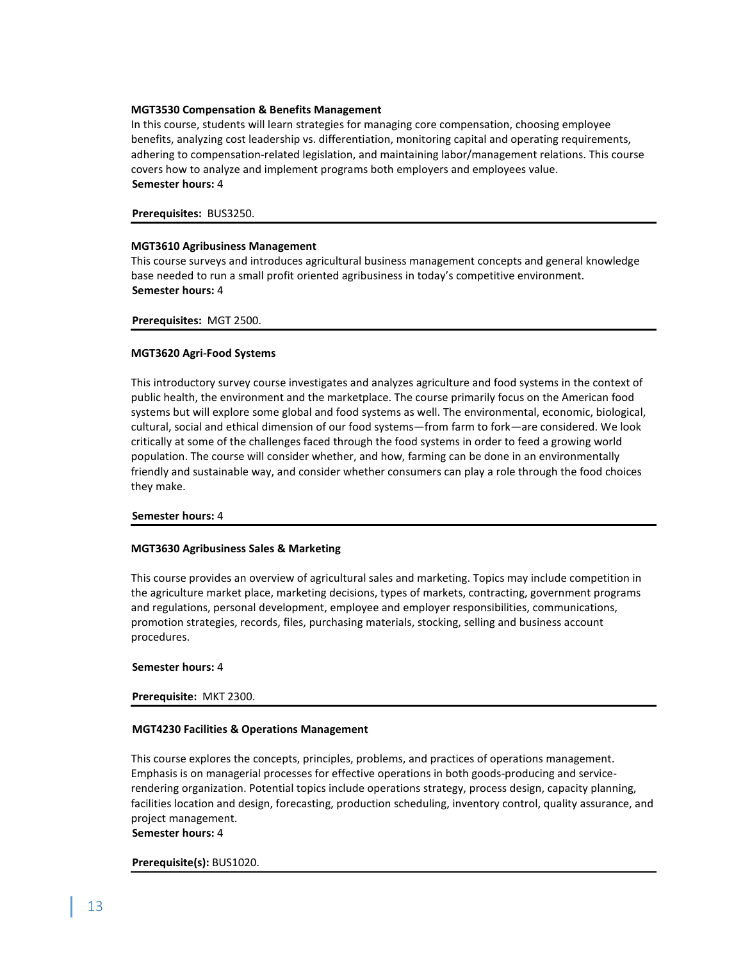# **MGT3530 Compensation & Benefits Management**

In this course, students will learn strategies for managing core compensation, choosing employee benefits, analyzing cost leadership vs. differentiation, monitoring capital and operating requirements, adhering to compensation-related legislation, and maintaining labor/management relations. This course covers how to analyze and implement programs both employers and employees value. **Semester hours:** 4

**Prerequisites:** BUS3250.

# **MGT3610 Agribusiness Management**

This course surveys and introduces agricultural business management concepts and general knowledge base needed to run a small profit oriented agribusiness in today's competitive environment. **Semester hours:** 4

**Prerequisites:** MGT 2500.

# **MGT3620 Agri-Food Systems**

This introductory survey course investigates and analyzes agriculture and food systems in the context of public health, the environment and the marketplace. The course primarily focus on the American food systems but will explore some global and food systems as well. The environmental, economic, biological, cultural, social and ethical dimension of our food systems—from farm to fork—are considered. We look critically at some of the challenges faced through the food systems in order to feed a growing world population. The course will consider whether, and how, farming can be done in an environmentally friendly and sustainable way, and consider whether consumers can play a role through the food choices they make.

#### **Semester hours:** 4

#### **MGT3630 Agribusiness Sales & Marketing**

This course provides an overview of agricultural sales and marketing. Topics may include competition in the agriculture market place, marketing decisions, types of markets, contracting, government programs and regulations, personal development, employee and employer responsibilities, communications, promotion strategies, records, files, purchasing materials, stocking, selling and business account procedures.

#### **Semester hours:** 4

#### **Prerequisite:** MKT 2300.

#### **MGT4230 Facilities & Operations Management**

This course explores the concepts, principles, problems, and practices of operations management. Emphasis is on managerial processes for effective operations in both goods-producing and servicerendering organization. Potential topics include operations strategy, process design, capacity planning, facilities location and design, forecasting, production scheduling, inventory control, quality assurance, and project management.

**Semester hours:** 4

# **Prerequisite(s):** BUS1020.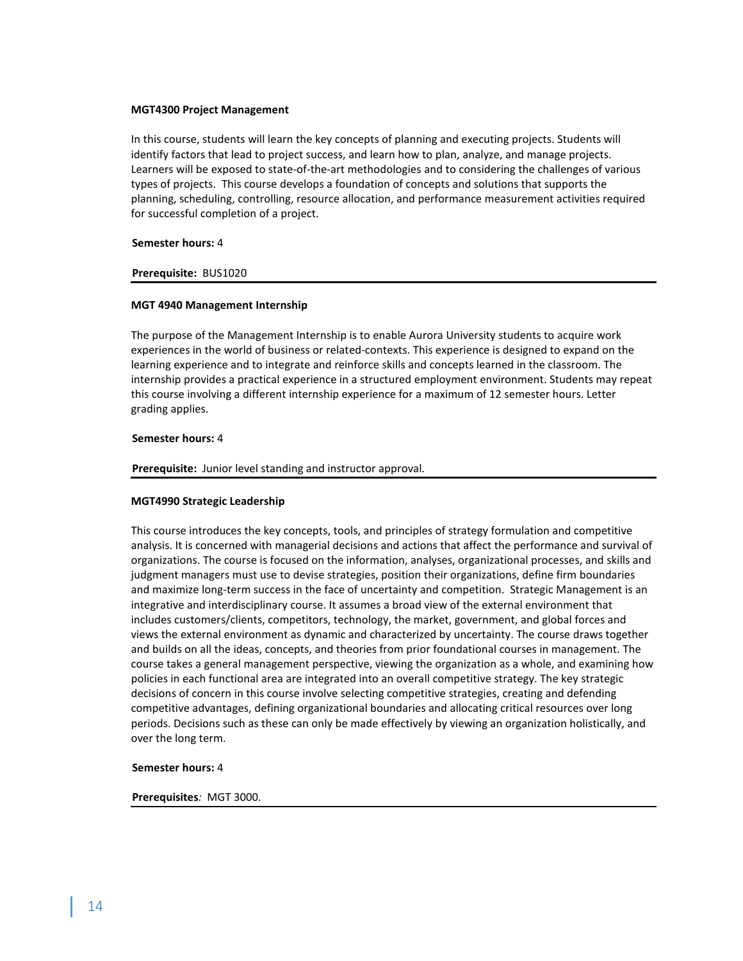#### **MGT4300 Project Management**

In this course, students will learn the key concepts of planning and executing projects. Students will identify factors that lead to project success, and learn how to plan, analyze, and manage projects. Learners will be exposed to state-of-the-art methodologies and to considering the challenges of various types of projects. This course develops a foundation of concepts and solutions that supports the planning, scheduling, controlling, resource allocation, and performance measurement activities required for successful completion of a project.

#### **Semester hours:** 4

#### **Prerequisite:**BUS1020

#### **MGT 4940 Management Internship**

The purpose of the Management Internship is to enable Aurora University students to acquire work experiences in the world of business or related-contexts. This experience is designed to expand on the learning experience and to integrate and reinforce skills and concepts learned in the classroom. The internship provides a practical experience in a structured employment environment. Students may repeat this course involving a different internship experience for a maximum of 12 semester hours. Letter grading applies.

#### **Semester hours:** 4

**Prerequisite:**Junior level standing and instructor approval.

#### **MGT4990 Strategic Leadership**

This course introduces the key concepts, tools, and principles of strategy formulation and competitive analysis. It is concerned with managerial decisions and actions that affect the performance and survival of organizations. The course is focused on the information, analyses, organizational processes, and skills and judgment managers must use to devise strategies, position their organizations, define firm boundaries and maximize long-term success in the face of uncertainty and competition. Strategic Management is an integrative and interdisciplinary course. It assumes a broad view of the external environment that includes customers/clients, competitors, technology, the market, government, and global forces and views the external environment as dynamic and characterized by uncertainty. The course draws together and builds on all the ideas, concepts, and theories from prior foundational courses in management. The course takes a general management perspective, viewing the organization as a whole, and examining how policies in each functional area are integrated into an overall competitive strategy. The key strategic decisions of concern in this course involve selecting competitive strategies, creating and defending competitive advantages, defining organizational boundaries and allocating critical resources over long periods. Decisions such as these can only be made effectively by viewing an organization holistically, and over the long term.

#### **Semester hours:** 4

#### **Prerequisites***:* MGT 3000.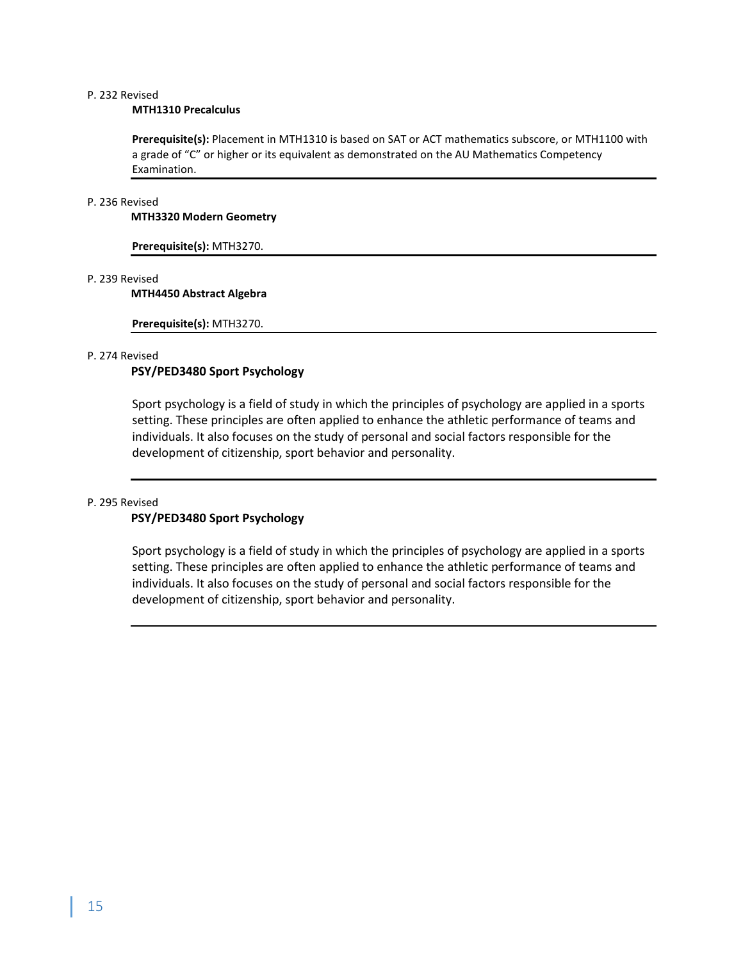# P. 232 Revised

#### **MTH1310 Precalculus**

**Prerequisite(s):** Placement in MTH1310 is based on SAT or ACT mathematics subscore, or MTH1100 with a grade of "C" or higher or its equivalent as demonstrated on the AU Mathematics Competency Examination.

#### P. 236 Revised

## **MTH3320 Modern Geometry**

**Prerequisite(s):** MTH3270.

# P. 239 Revised

# **MTH4450 Abstract Algebra**

**Prerequisite(s):** MTH3270.

# P. 274 Revised

# **PSY/PED3480 Sport Psychology**

Sport psychology is a field of study in which the principles of psychology are applied in a sports setting. These principles are often applied to enhance the athletic performance of teams and individuals. It also focuses on the study of personal and social factors responsible for the development of citizenship, sport behavior and personality.

# P. 295 Revised

# **PSY/PED3480 Sport Psychology**

Sport psychology is a field of study in which the principles of psychology are applied in a sports setting. These principles are often applied to enhance the athletic performance of teams and individuals. It also focuses on the study of personal and social factors responsible for the development of citizenship, sport behavior and personality.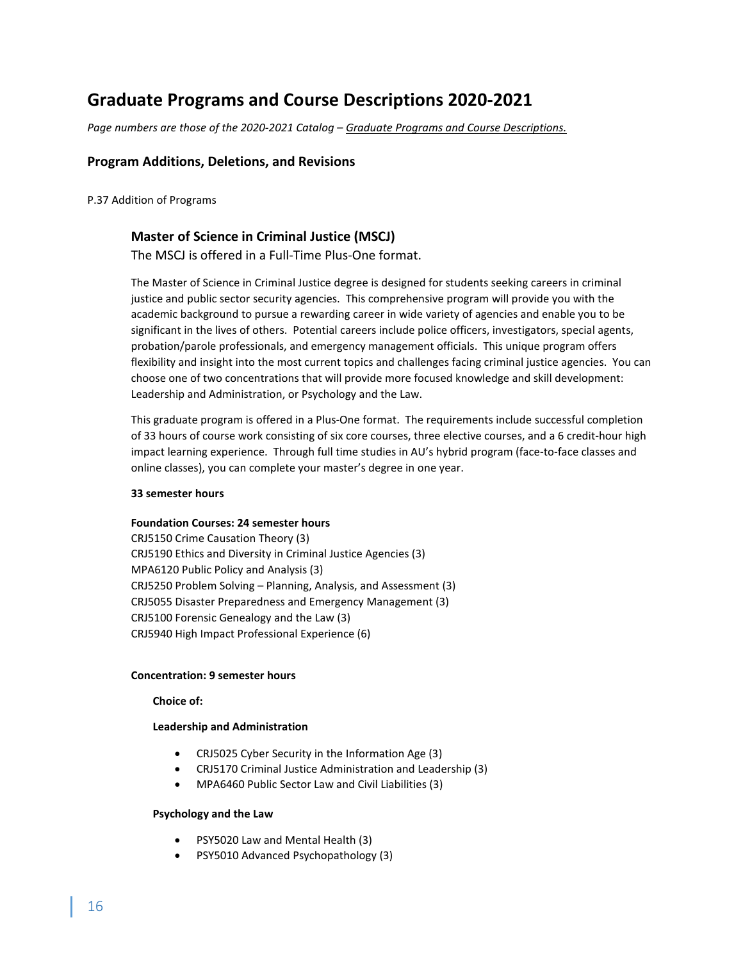# **Graduate Programs and Course Descriptions 2020-2021**

*Page numbers are those of the 2020-2021 Catalog – Graduate Programs and Course Descriptions.*

# **Program Additions, Deletions, and Revisions**

P.37 Addition of Programs

# **Master of Science in Criminal Justice (MSCJ)**

The MSCJ is offered in a Full-Time Plus-One format.

The Master of Science in Criminal Justice degree is designed for students seeking careers in criminal justice and public sector security agencies. This comprehensive program will provide you with the academic background to pursue a rewarding career in wide variety of agencies and enable you to be significant in the lives of others. Potential careers include police officers, investigators, special agents, probation/parole professionals, and emergency management officials. This unique program offers flexibility and insight into the most current topics and challenges facing criminal justice agencies. You can choose one of two concentrations that will provide more focused knowledge and skill development: Leadership and Administration, or Psychology and the Law.

This graduate program is offered in a Plus-One format. The requirements include successful completion of 33 hours of course work consisting of six core courses, three elective courses, and a 6 credit-hour high impact learning experience. Through full time studies in AU's hybrid program (face-to-face classes and online classes), you can complete your master's degree in one year.

#### **33 semester hours**

#### **Foundation Courses: 24 semester hours**

CRJ5150 Crime Causation Theory (3) CRJ5190 Ethics and Diversity in Criminal Justice Agencies (3) MPA6120 Public Policy and Analysis (3) CRJ5250 Problem Solving – Planning, Analysis, and Assessment (3) CRJ5055 Disaster Preparedness and Emergency Management (3) CRJ5100 Forensic Genealogy and the Law (3) CRJ5940 High Impact Professional Experience (6)

#### **Concentration: 9 semester hours**

**Choice of:**

#### **Leadership and Administration**

- CRJ5025 Cyber Security in the Information Age (3)
- CRJ5170 Criminal Justice Administration and Leadership (3)
- MPA6460 Public Sector Law and Civil Liabilities (3)

# **Psychology and the Law**

- PSY5020 Law and Mental Health (3)
- PSY5010 Advanced Psychopathology (3)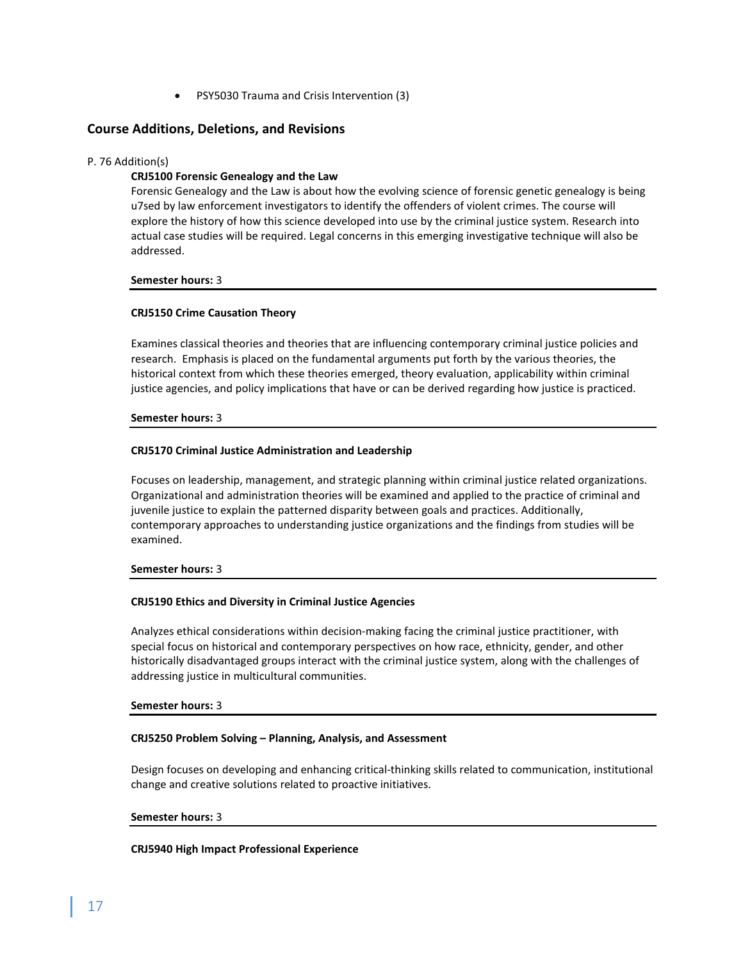• PSY5030 Trauma and Crisis Intervention (3)

# **Course Additions, Deletions, and Revisions**

## P. 76 Addition(s)

# **CRJ5100 Forensic Genealogy and the Law**

Forensic Genealogy and the Law is about how the evolving science of forensic genetic genealogy is being u7sed by law enforcement investigators to identify the offenders of violent crimes. The course will explore the history of how this science developed into use by the criminal justice system. Research into actual case studies will be required. Legal concerns in this emerging investigative technique will also be addressed.

**Semester hours:** 3

#### **CRJ5150 Crime Causation Theory**

Examines classical theories and theories that are influencing contemporary criminal justice policies and research. Emphasis is placed on the fundamental arguments put forth by the various theories, the historical context from which these theories emerged, theory evaluation, applicability within criminal justice agencies, and policy implications that have or can be derived regarding how justice is practiced.

#### **Semester hours:** 3

#### **CRJ5170 Criminal Justice Administration and Leadership**

Focuses on leadership, management, and strategic planning within criminal justice related organizations. Organizational and administration theories will be examined and applied to the practice of criminal and juvenile justice to explain the patterned disparity between goals and practices. Additionally, contemporary approaches to understanding justice organizations and the findings from studies will be examined.

#### **Semester hours:** 3

#### **CRJ5190 Ethics and Diversity in Criminal Justice Agencies**

Analyzes ethical considerations within decision-making facing the criminal justice practitioner, with special focus on historical and contemporary perspectives on how race, ethnicity, gender, and other historically disadvantaged groups interact with the criminal justice system, along with the challenges of addressing justice in multicultural communities.

#### **Semester hours:** 3

#### **CRJ5250 Problem Solving – Planning, Analysis, and Assessment**

Design focuses on developing and enhancing critical-thinking skills related to communication, institutional change and creative solutions related to proactive initiatives.

#### **Semester hours:** 3

#### **CRJ5940 High Impact Professional Experience**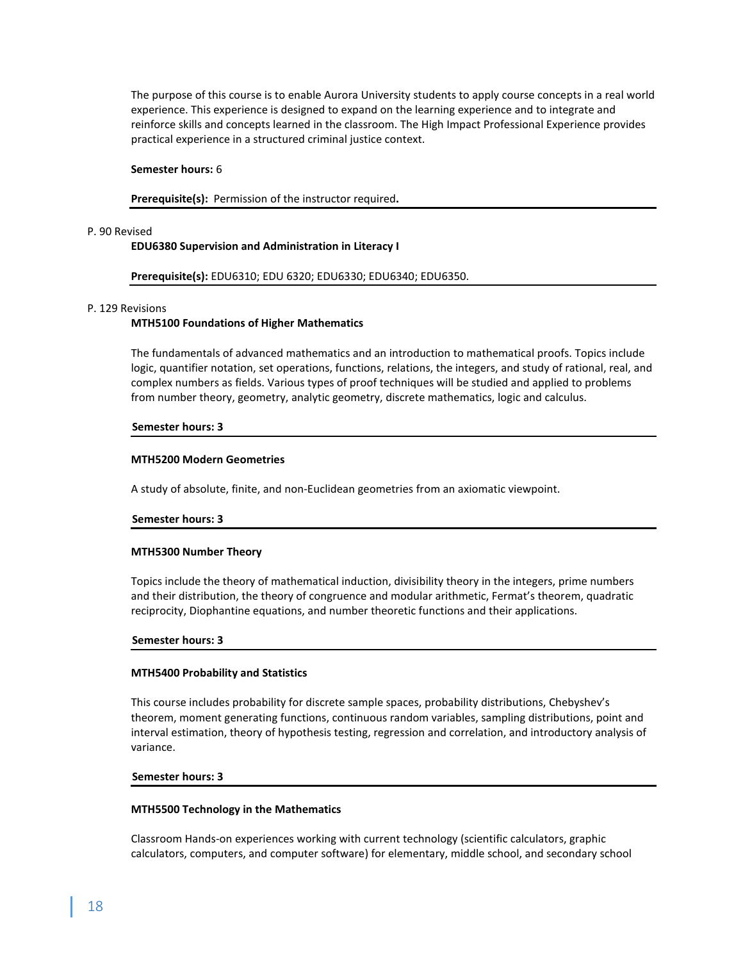The purpose of this course is to enable Aurora University students to apply course concepts in a real world experience. This experience is designed to expand on the learning experience and to integrate and reinforce skills and concepts learned in the classroom. The High Impact Professional Experience provides practical experience in a structured criminal justice context.

#### **Semester hours:** 6

**Prerequisite(s):** Permission of the instructor required**.**

#### P. 90 Revised

#### **EDU6380 Supervision and Administration in Literacy I**

#### **Prerequisite(s):** EDU6310; EDU 6320; EDU6330; EDU6340; EDU6350.

#### P. 129 Revisions

#### **MTH5100 Foundations of Higher Mathematics**

The fundamentals of advanced mathematics and an introduction to mathematical proofs. Topics include logic, quantifier notation, set operations, functions, relations, the integers, and study of rational, real, and complex numbers as fields. Various types of proof techniques will be studied and applied to problems from number theory, geometry, analytic geometry, discrete mathematics, logic and calculus.

#### **Semester hours: 3**

#### **MTH5200 Modern Geometries**

A study of absolute, finite, and non-Euclidean geometries from an axiomatic viewpoint.

#### **Semester hours: 3**

#### **MTH5300 Number Theory**

Topics include the theory of mathematical induction, divisibility theory in the integers, prime numbers and their distribution, the theory of congruence and modular arithmetic, Fermat's theorem, quadratic reciprocity, Diophantine equations, and number theoretic functions and their applications.

#### **Semester hours: 3**

#### **MTH5400 Probability and Statistics**

This course includes probability for discrete sample spaces, probability distributions, Chebyshev's theorem, moment generating functions, continuous random variables, sampling distributions, point and interval estimation, theory of hypothesis testing, regression and correlation, and introductory analysis of variance.

#### **Semester hours: 3**

#### **MTH5500 Technology in the Mathematics**

Classroom Hands-on experiences working with current technology (scientific calculators, graphic calculators, computers, and computer software) for elementary, middle school, and secondary school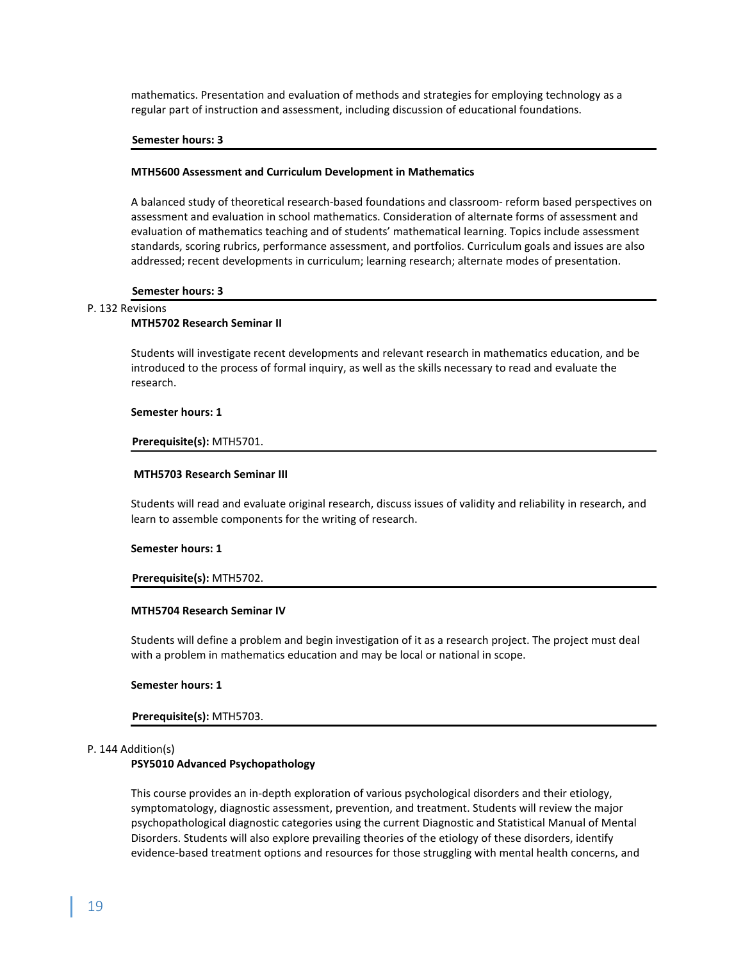mathematics. Presentation and evaluation of methods and strategies for employing technology as a regular part of instruction and assessment, including discussion of educational foundations.

#### **Semester hours: 3**

#### **MTH5600 Assessment and Curriculum Development in Mathematics**

A balanced study of theoretical research-based foundations and classroom- reform based perspectives on assessment and evaluation in school mathematics. Consideration of alternate forms of assessment and evaluation of mathematics teaching and of students' mathematical learning. Topics include assessment standards, scoring rubrics, performance assessment, and portfolios. Curriculum goals and issues are also addressed; recent developments in curriculum; learning research; alternate modes of presentation.

#### **Semester hours: 3**

# P. 132 Revisions

#### **MTH5702 Research Seminar II**

Students will investigate recent developments and relevant research in mathematics education, and be introduced to the process of formal inquiry, as well as the skills necessary to read and evaluate the research.

#### **Semester hours: 1**

#### **Prerequisite(s):** MTH5701.

#### **MTH5703 Research Seminar III**

Students will read and evaluate original research, discuss issues of validity and reliability in research, and learn to assemble components for the writing of research.

#### **Semester hours: 1**

#### **Prerequisite(s):** MTH5702.

#### **MTH5704 Research Seminar IV**

Students will define a problem and begin investigation of it as a research project. The project must deal with a problem in mathematics education and may be local or national in scope.

#### **Semester hours: 1**

#### **Prerequisite(s):** MTH5703.

#### P. 144 Addition(s)

#### **PSY5010 Advanced Psychopathology**

This course provides an in-depth exploration of various psychological disorders and their etiology, symptomatology, diagnostic assessment, prevention, and treatment. Students will review the major psychopathological diagnostic categories using the current Diagnostic and Statistical Manual of Mental Disorders. Students will also explore prevailing theories of the etiology of these disorders, identify evidence-based treatment options and resources for those struggling with mental health concerns, and